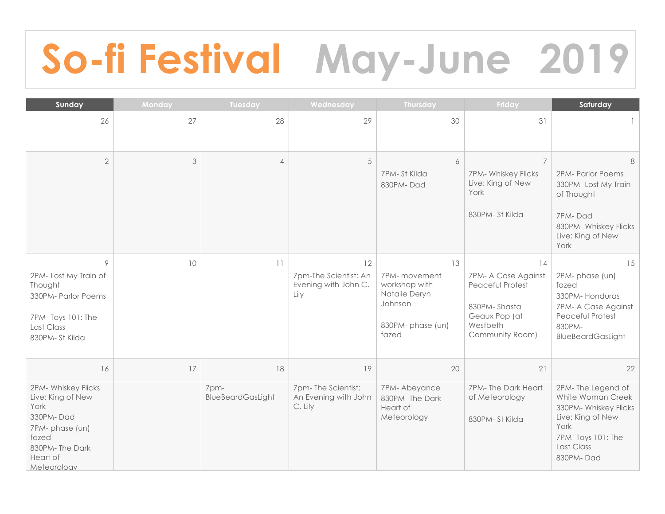## **So-fi Festival May-June 2019**

| Sunday                                                                                                                                      | Monday | Tuesday                         | Wednesday                                                   | Thursday                                                                                      | Friday                                                                                                        | Saturday                                                                                                                                           |
|---------------------------------------------------------------------------------------------------------------------------------------------|--------|---------------------------------|-------------------------------------------------------------|-----------------------------------------------------------------------------------------------|---------------------------------------------------------------------------------------------------------------|----------------------------------------------------------------------------------------------------------------------------------------------------|
| 26                                                                                                                                          | 27     | 28                              | 29                                                          | 30                                                                                            | 31                                                                                                            |                                                                                                                                                    |
| $\overline{2}$                                                                                                                              | 3      | $\overline{4}$                  | 5                                                           | 6<br>7PM-St Kilda<br>830PM-Dad                                                                | $\overline{7}$<br>7PM- Whiskey Flicks<br>Live: King of New<br>York<br>830PM-St Kilda                          | 8<br>2PM- Parlor Poems<br>330PM-Lost My Train<br>of Thought<br>7PM-Dad<br>830PM- Whiskey Flicks<br>Live: King of New<br>York                       |
| 9<br>2PM-Lost My Train of<br>Thought<br>330PM- Parlor Poems<br>7PM-Toys 101: The<br>Last Class<br>830PM-St Kilda                            | 10     | 11                              | 12<br>7pm-The Scientist: An<br>Evening with John C.<br>Lily | 13<br>7PM- movement<br>workshop with<br>Natalie Deryn<br>Johnson<br>830PM-phase (un)<br>fazed | 14<br>7PM- A Case Against<br>Peaceful Protest<br>830PM-Shasta<br>Geaux Pop (at<br>Westbeth<br>Community Room) | 15<br>2PM-phase (un)<br>fazed<br>330PM-Honduras<br>7PM- A Case Against<br>Peaceful Protest<br>830PM-<br>BlueBeardGasLight                          |
| 16<br>2PM- Whiskey Flicks<br>Live: King of New<br>York<br>330PM-Dad<br>7PM-phase (un)<br>fazed<br>830PM-The Dark<br>Heart of<br>Meteorology | 17     | 18<br>7pm-<br>BlueBeardGasLight | 19<br>7pm-The Scientist:<br>An Evening with John<br>C. Lily | 20<br>7PM-Abeyance<br>830PM-The Dark<br>Heart of<br>Meteorology                               | 21<br>7PM-The Dark Heart<br>of Meteorology<br>830PM-St Kilda                                                  | 22<br>2PM-The Legend of<br>White Woman Creek<br>330PM- Whiskey Flicks<br>Live: King of New<br>York<br>7PM-Toys 101: The<br>Last Class<br>830PM-Dad |